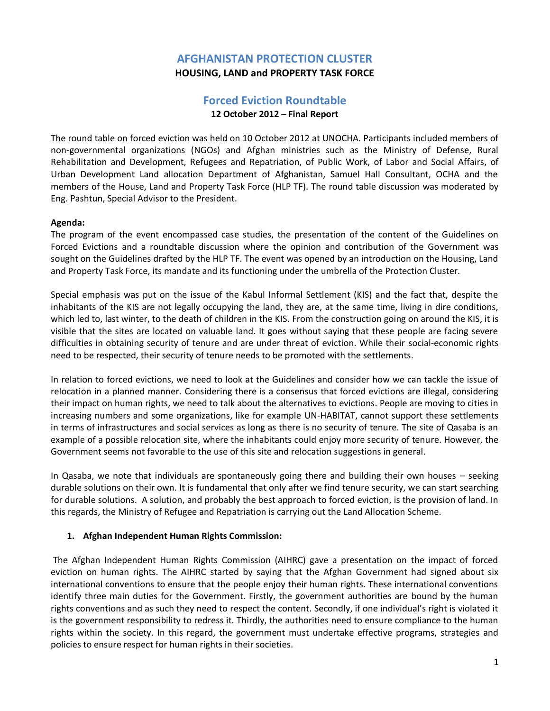## **AFGHANISTAN PROTECTION CLUSTER HOUSING, LAND and PROPERTY TASK FORCE**

# **Forced Eviction Roundtable 12 October 2012 – Final Report**

The round table on forced eviction was held on 10 October 2012 at UNOCHA. Participants included members of non-governmental organizations (NGOs) and Afghan ministries such as the Ministry of Defense, Rural Rehabilitation and Development, Refugees and Repatriation, of Public Work, of Labor and Social Affairs, of Urban Development Land allocation Department of Afghanistan, Samuel Hall Consultant, OCHA and the members of the House, Land and Property Task Force (HLP TF). The round table discussion was moderated by Eng. Pashtun, Special Advisor to the President.

## **Agenda:**

The program of the event encompassed case studies, the presentation of the content of the Guidelines on Forced Evictions and a roundtable discussion where the opinion and contribution of the Government was sought on the Guidelines drafted by the HLP TF. The event was opened by an introduction on the Housing, Land and Property Task Force, its mandate and its functioning under the umbrella of the Protection Cluster.

Special emphasis was put on the issue of the Kabul Informal Settlement (KIS) and the fact that, despite the inhabitants of the KIS are not legally occupying the land, they are, at the same time, living in dire conditions, which led to, last winter, to the death of children in the KIS. From the construction going on around the KIS, it is visible that the sites are located on valuable land. It goes without saying that these people are facing severe difficulties in obtaining security of tenure and are under threat of eviction. While their social-economic rights need to be respected, their security of tenure needs to be promoted with the settlements.

In relation to forced evictions, we need to look at the Guidelines and consider how we can tackle the issue of relocation in a planned manner. Considering there is a consensus that forced evictions are illegal, considering their impact on human rights, we need to talk about the alternatives to evictions. People are moving to cities in increasing numbers and some organizations, like for example UN-HABITAT, cannot support these settlements in terms of infrastructures and social services as long as there is no security of tenure. The site of Qasaba is an example of a possible relocation site, where the inhabitants could enjoy more security of tenure. However, the Government seems not favorable to the use of this site and relocation suggestions in general.

In Qasaba, we note that individuals are spontaneously going there and building their own houses – seeking durable solutions on their own. It is fundamental that only after we find tenure security, we can start searching for durable solutions. A solution, and probably the best approach to forced eviction, is the provision of land. In this regards, the Ministry of Refugee and Repatriation is carrying out the Land Allocation Scheme.

## **1. Afghan Independent Human Rights Commission:**

The Afghan Independent Human Rights Commission (AIHRC) gave a presentation on the impact of forced eviction on human rights. The AIHRC started by saying that the Afghan Government had signed about six international conventions to ensure that the people enjoy their human rights. These international conventions identify three main duties for the Government. Firstly, the government authorities are bound by the human rights conventions and as such they need to respect the content. Secondly, if one individual's right is violated it is the government responsibility to redress it. Thirdly, the authorities need to ensure compliance to the human rights within the society. In this regard, the government must undertake effective programs, strategies and policies to ensure respect for human rights in their societies.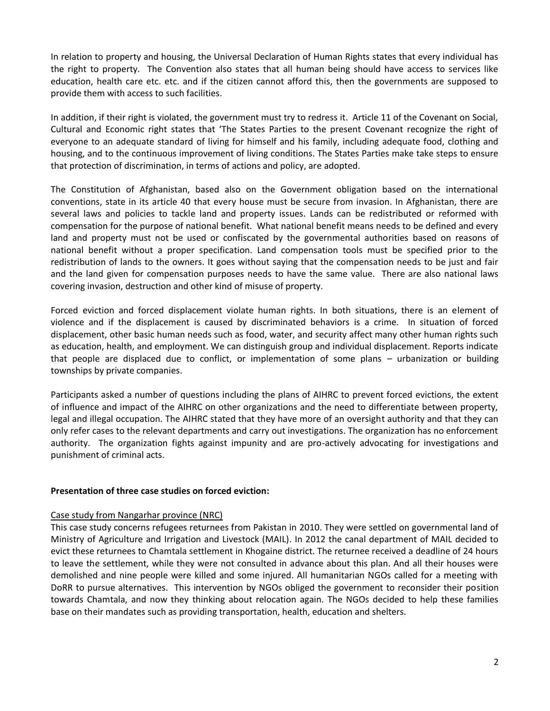In relation to property and housing, the Universal Declaration of Human Rights states that every individual has the right to property. The Convention also states that all human being should have access to services like education, health care etc. etc. and if the citizen cannot afford this, then the governments are supposed to provide them with access to such facilities.

In addition, if their right is violated, the government must try to redress it. Article 11 of the Covenant on Social, Cultural and Economic right states that 'The States Parties to the present Covenant recognize the right of everyone to an adequate standard of living for himself and his family, including adequate food, clothing and housing, and to the continuous improvement of living conditions. The States Parties make take steps to ensure that protection of discrimination, in terms of actions and policy, are adopted.

The Constitution of Afghanistan, based also on the Government obligation based on the international conventions, state in its article 40 that every house must be secure from invasion. In Afghanistan, there are several laws and policies to tackle land and property issues. Lands can be redistributed or reformed with compensation for the purpose of national benefit. What national benefit means needs to be defined and every land and property must not be used or confiscated by the governmental authorities based on reasons of national benefit without a proper specification. Land compensation tools must be specified prior to the redistribution of lands to the owners. It goes without saying that the compensation needs to be just and fair and the land given for compensation purposes needs to have the same value. There are also national laws covering invasion, destruction and other kind of misuse of property.

Forced eviction and forced displacement violate human rights. In both situations, there is an element of violence and if the displacement is caused by discriminated behaviors is a crime. In situation of forced displacement, other basic human needs such as food, water, and security affect many other human rights such as education, health, and employment. We can distinguish group and individual displacement. Reports indicate that people are displaced due to conflict, or implementation of some plans – urbanization or building townships by private companies.

Participants asked a number of questions including the plans of AIHRC to prevent forced evictions, the extent of influence and impact of the AIHRC on other organizations and the need to differentiate between property, legal and illegal occupation. The AIHRC stated that they have more of an oversight authority and that they can only refer cases to the relevant departments and carry out investigations. The organization has no enforcement authority. The organization fights against impunity and are pro-actively advocating for investigations and punishment of criminal acts.

#### **Presentation of three case studies on forced eviction:**

#### Case study from Nangarhar province (NRC)

This case study concerns refugees returnees from Pakistan in 2010. They were settled on governmental land of Ministry of Agriculture and Irrigation and Livestock (MAIL). In 2012 the canal department of MAIL decided to evict these returnees to Chamtala settlement in Khogaine district. The returnee received a deadline of 24 hours to leave the settlement, while they were not consulted in advance about this plan. And all their houses were demolished and nine people were killed and some injured. All humanitarian NGOs called for a meeting with DoRR to pursue alternatives. This intervention by NGOs obliged the government to reconsider their position towards Chamtala, and now they thinking about relocation again. The NGOs decided to help these families base on their mandates such as providing transportation, health, education and shelters.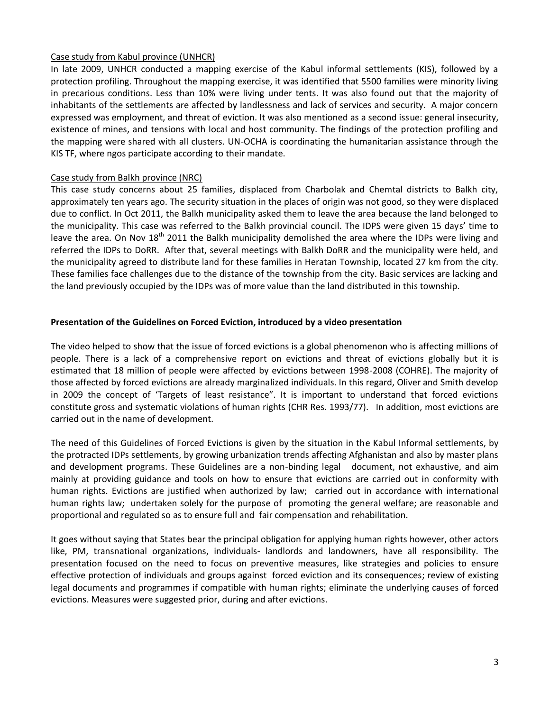### Case study from Kabul province (UNHCR)

In late 2009, UNHCR conducted a mapping exercise of the Kabul informal settlements (KIS), followed by a protection profiling. Throughout the mapping exercise, it was identified that 5500 families were minority living in precarious conditions. Less than 10% were living under tents. It was also found out that the majority of inhabitants of the settlements are affected by landlessness and lack of services and security. A major concern expressed was employment, and threat of eviction. It was also mentioned as a second issue: general insecurity, existence of mines, and tensions with local and host community. The findings of the protection profiling and the mapping were shared with all clusters. UN-OCHA is coordinating the humanitarian assistance through the KIS TF, where ngos participate according to their mandate.

#### Case study from Balkh province (NRC)

This case study concerns about 25 families, displaced from Charbolak and Chemtal districts to Balkh city, approximately ten years ago. The security situation in the places of origin was not good, so they were displaced due to conflict. In Oct 2011, the Balkh municipality asked them to leave the area because the land belonged to the municipality. This case was referred to the Balkh provincial council. The IDPS were given 15 days' time to leave the area. On Nov  $18^{th}$  2011 the Balkh municipality demolished the area where the IDPs were living and referred the IDPs to DoRR. After that, several meetings with Balkh DoRR and the municipality were held, and the municipality agreed to distribute land for these families in Heratan Township, located 27 km from the city. These families face challenges due to the distance of the township from the city. Basic services are lacking and the land previously occupied by the IDPs was of more value than the land distributed in this township.

#### **Presentation of the Guidelines on Forced Eviction, introduced by a video presentation**

The video helped to show that the issue of forced evictions is a global phenomenon who is affecting millions of people. There is a lack of a comprehensive report on evictions and threat of evictions globally but it is estimated that 18 million of people were affected by evictions between 1998-2008 (COHRE). The majority of those affected by forced evictions are already marginalized individuals. In this regard, Oliver and Smith develop in 2009 the concept of 'Targets of least resistance". It is important to understand that forced evictions constitute gross and systematic violations of human rights (CHR Res. 1993/77). In addition, most evictions are carried out in the name of development.

The need of this Guidelines of Forced Evictions is given by the situation in the Kabul Informal settlements, by the protracted IDPs settlements, by growing urbanization trends affecting Afghanistan and also by master plans and development programs. These Guidelines are a non-binding legal document, not exhaustive, and aim mainly at providing guidance and tools on how to ensure that evictions are carried out in conformity with human rights. Evictions are justified when authorized by law; carried out in accordance with international human rights law; undertaken solely for the purpose of promoting the general welfare; are reasonable and proportional and regulated so as to ensure full and fair compensation and rehabilitation.

It goes without saying that States bear the principal obligation for applying human rights however, other actors like, PM, transnational organizations, individuals- landlords and landowners, have all responsibility. The presentation focused on the need to focus on preventive measures, like strategies and policies to ensure effective protection of individuals and groups against forced eviction and its consequences; review of existing legal documents and programmes if compatible with human rights; eliminate the underlying causes of forced evictions. Measures were suggested prior, during and after evictions.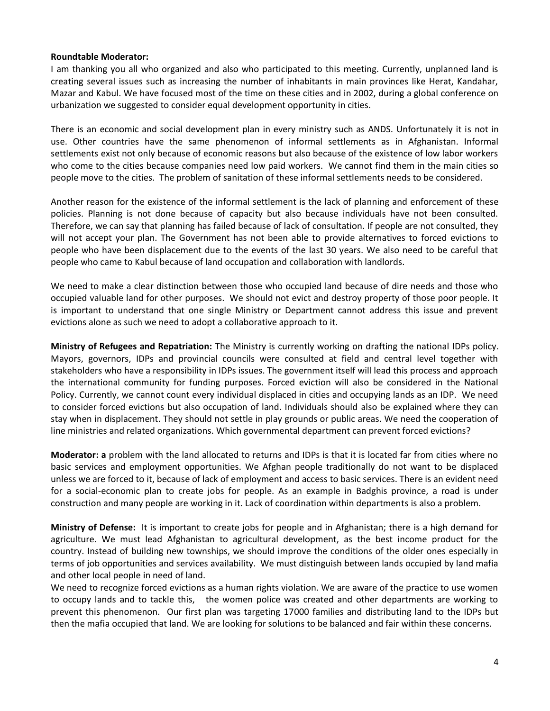#### **Roundtable Moderator:**

I am thanking you all who organized and also who participated to this meeting. Currently, unplanned land is creating several issues such as increasing the number of inhabitants in main provinces like Herat, Kandahar, Mazar and Kabul. We have focused most of the time on these cities and in 2002, during a global conference on urbanization we suggested to consider equal development opportunity in cities.

There is an economic and social development plan in every ministry such as ANDS. Unfortunately it is not in use. Other countries have the same phenomenon of informal settlements as in Afghanistan. Informal settlements exist not only because of economic reasons but also because of the existence of low labor workers who come to the cities because companies need low paid workers. We cannot find them in the main cities so people move to the cities. The problem of sanitation of these informal settlements needs to be considered.

Another reason for the existence of the informal settlement is the lack of planning and enforcement of these policies. Planning is not done because of capacity but also because individuals have not been consulted. Therefore, we can say that planning has failed because of lack of consultation. If people are not consulted, they will not accept your plan. The Government has not been able to provide alternatives to forced evictions to people who have been displacement due to the events of the last 30 years. We also need to be careful that people who came to Kabul because of land occupation and collaboration with landlords.

We need to make a clear distinction between those who occupied land because of dire needs and those who occupied valuable land for other purposes. We should not evict and destroy property of those poor people. It is important to understand that one single Ministry or Department cannot address this issue and prevent evictions alone as such we need to adopt a collaborative approach to it.

**Ministry of Refugees and Repatriation:** The Ministry is currently working on drafting the national IDPs policy. Mayors, governors, IDPs and provincial councils were consulted at field and central level together with stakeholders who have a responsibility in IDPs issues. The government itself will lead this process and approach the international community for funding purposes. Forced eviction will also be considered in the National Policy. Currently, we cannot count every individual displaced in cities and occupying lands as an IDP. We need to consider forced evictions but also occupation of land. Individuals should also be explained where they can stay when in displacement. They should not settle in play grounds or public areas. We need the cooperation of line ministries and related organizations. Which governmental department can prevent forced evictions?

**Moderator: a** problem with the land allocated to returns and IDPs is that it is located far from cities where no basic services and employment opportunities. We Afghan people traditionally do not want to be displaced unless we are forced to it, because of lack of employment and access to basic services. There is an evident need for a social-economic plan to create jobs for people. As an example in Badghis province, a road is under construction and many people are working in it. Lack of coordination within departments is also a problem.

**Ministry of Defense:** It is important to create jobs for people and in Afghanistan; there is a high demand for agriculture. We must lead Afghanistan to agricultural development, as the best income product for the country. Instead of building new townships, we should improve the conditions of the older ones especially in terms of job opportunities and services availability. We must distinguish between lands occupied by land mafia and other local people in need of land.

We need to recognize forced evictions as a human rights violation. We are aware of the practice to use women to occupy lands and to tackle this, the women police was created and other departments are working to prevent this phenomenon. Our first plan was targeting 17000 families and distributing land to the IDPs but then the mafia occupied that land. We are looking for solutions to be balanced and fair within these concerns.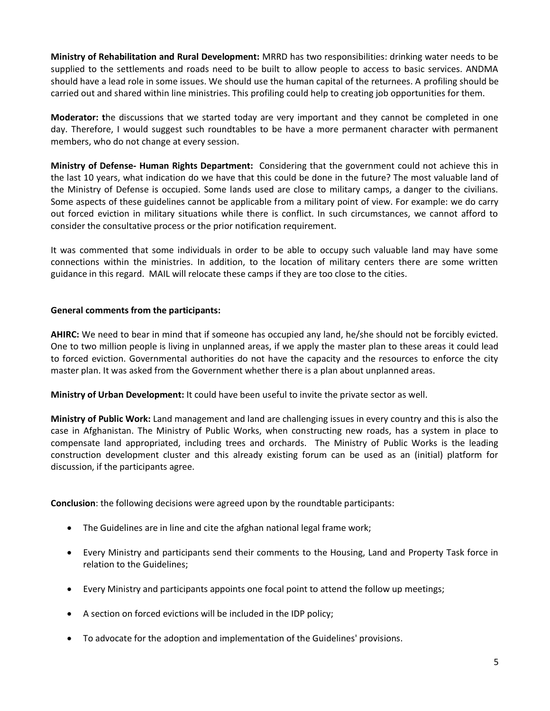**Ministry of Rehabilitation and Rural Development:** MRRD has two responsibilities: drinking water needs to be supplied to the settlements and roads need to be built to allow people to access to basic services. ANDMA should have a lead role in some issues. We should use the human capital of the returnees. A profiling should be carried out and shared within line ministries. This profiling could help to creating job opportunities for them.

**Moderator: t**he discussions that we started today are very important and they cannot be completed in one day. Therefore, I would suggest such roundtables to be have a more permanent character with permanent members, who do not change at every session.

**Ministry of Defense- Human Rights Department:** Considering that the government could not achieve this in the last 10 years, what indication do we have that this could be done in the future? The most valuable land of the Ministry of Defense is occupied. Some lands used are close to military camps, a danger to the civilians. Some aspects of these guidelines cannot be applicable from a military point of view. For example: we do carry out forced eviction in military situations while there is conflict. In such circumstances, we cannot afford to consider the consultative process or the prior notification requirement.

It was commented that some individuals in order to be able to occupy such valuable land may have some connections within the ministries. In addition, to the location of military centers there are some written guidance in this regard. MAIL will relocate these camps if they are too close to the cities.

#### **General comments from the participants:**

**AHIRC:** We need to bear in mind that if someone has occupied any land, he/she should not be forcibly evicted. One to two million people is living in unplanned areas, if we apply the master plan to these areas it could lead to forced eviction. Governmental authorities do not have the capacity and the resources to enforce the city master plan. It was asked from the Government whether there is a plan about unplanned areas.

**Ministry of Urban Development:** It could have been useful to invite the private sector as well.

**Ministry of Public Work:** Land management and land are challenging issues in every country and this is also the case in Afghanistan. The Ministry of Public Works, when constructing new roads, has a system in place to compensate land appropriated, including trees and orchards. The Ministry of Public Works is the leading construction development cluster and this already existing forum can be used as an (initial) platform for discussion, if the participants agree.

**Conclusion**: the following decisions were agreed upon by the roundtable participants:

- The Guidelines are in line and cite the afghan national legal frame work;
- Every Ministry and participants send their comments to the Housing, Land and Property Task force in relation to the Guidelines;
- Every Ministry and participants appoints one focal point to attend the follow up meetings;
- A section on forced evictions will be included in the IDP policy;
- To advocate for the adoption and implementation of the Guidelines' provisions.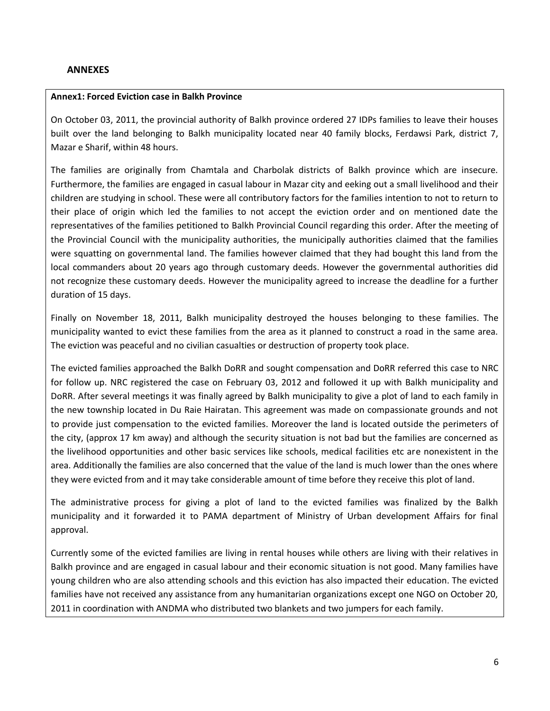#### **ANNEXES**

#### **Annex1: Forced Eviction case in Balkh Province**

On October 03, 2011, the provincial authority of Balkh province ordered 27 IDPs families to leave their houses built over the land belonging to Balkh municipality located near 40 family blocks, Ferdawsi Park, district 7, Mazar e Sharif, within 48 hours.

The families are originally from Chamtala and Charbolak districts of Balkh province which are insecure. Furthermore, the families are engaged in casual labour in Mazar city and eeking out a small livelihood and their children are studying in school. These were all contributory factors for the families intention to not to return to their place of origin which led the families to not accept the eviction order and on mentioned date the representatives of the families petitioned to Balkh Provincial Council regarding this order. After the meeting of the Provincial Council with the municipality authorities, the municipally authorities claimed that the families were squatting on governmental land. The families however claimed that they had bought this land from the local commanders about 20 years ago through customary deeds. However the governmental authorities did not recognize these customary deeds. However the municipality agreed to increase the deadline for a further duration of 15 days.

Finally on November 18, 2011, Balkh municipality destroyed the houses belonging to these families. The municipality wanted to evict these families from the area as it planned to construct a road in the same area. The eviction was peaceful and no civilian casualties or destruction of property took place.

The evicted families approached the Balkh DoRR and sought compensation and DoRR referred this case to NRC for follow up. NRC registered the case on February 03, 2012 and followed it up with Balkh municipality and DoRR. After several meetings it was finally agreed by Balkh municipality to give a plot of land to each family in the new township located in Du Raie Hairatan. This agreement was made on compassionate grounds and not to provide just compensation to the evicted families. Moreover the land is located outside the perimeters of the city, (approx 17 km away) and although the security situation is not bad but the families are concerned as the livelihood opportunities and other basic services like schools, medical facilities etc are nonexistent in the area. Additionally the families are also concerned that the value of the land is much lower than the ones where they were evicted from and it may take considerable amount of time before they receive this plot of land.

The administrative process for giving a plot of land to the evicted families was finalized by the Balkh municipality and it forwarded it to PAMA department of Ministry of Urban development Affairs for final approval.

Currently some of the evicted families are living in rental houses while others are living with their relatives in Balkh province and are engaged in casual labour and their economic situation is not good. Many families have young children who are also attending schools and this eviction has also impacted their education. The evicted families have not received any assistance from any humanitarian organizations except one NGO on October 20, 2011 in coordination with ANDMA who distributed two blankets and two jumpers for each family.